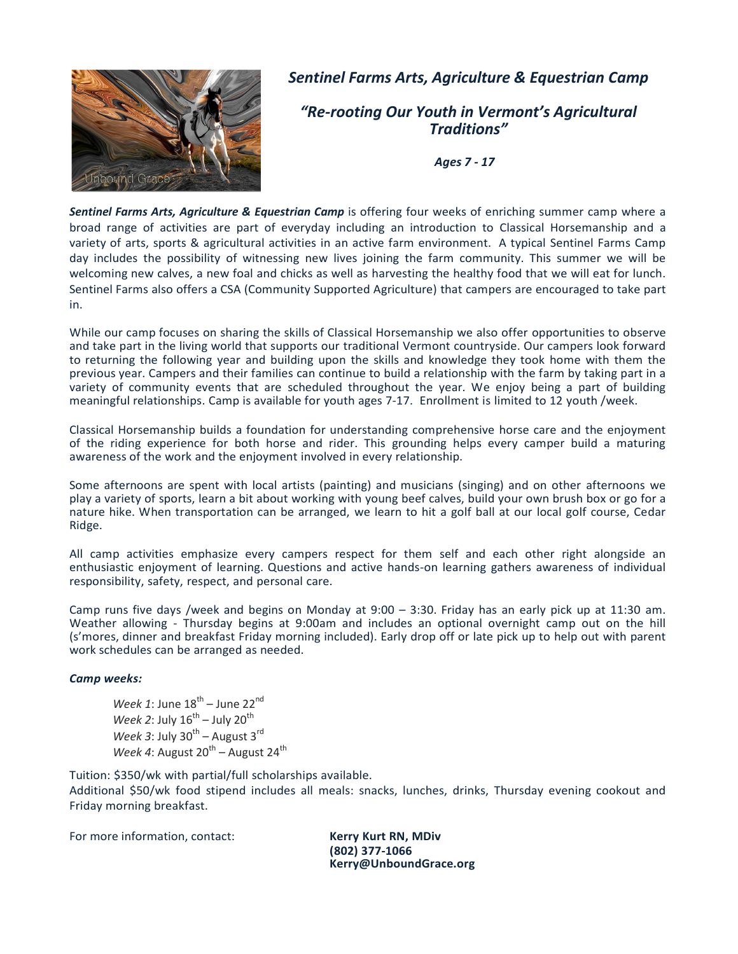

## Sentinel Farms Arts, Agriculture & Equestrian Camp

"Re-rooting Our Youth in Vermont's Agricultural Traditions"

Ages 7 - 17

Sentinel Farms Arts, Agriculture & Equestrian Camp is offering four weeks of enriching summer camp where a broad range of activities are part of everyday including an introduction to Classical Horsemanship and a variety of arts, sports & agricultural activities in an active farm environment. A typical Sentinel Farms Camp day includes the possibility of witnessing new lives joining the farm community. This summer we will be welcoming new calves, a new foal and chicks as well as harvesting the healthy food that we will eat for lunch. Sentinel Farms also offers a CSA (Community Supported Agriculture) that campers are encouraged to take part in.

While our camp focuses on sharing the skills of Classical Horsemanship we also offer opportunities to observe and take part in the living world that supports our traditional Vermont countryside. Our campers look forward to returning the following year and building upon the skills and knowledge they took home with them the previous year. Campers and their families can continue to build a relationship with the farm by taking part in a variety of community events that are scheduled throughout the year. We enjoy being a part of building meaningful relationships. Camp is available for youth ages 7-17. Enrollment is limited to 12 youth /week.

Classical Horsemanship builds a foundation for understanding comprehensive horse care and the enjoyment of the riding experience for both horse and rider. This grounding helps every camper build a maturing awareness of the work and the enjoyment involved in every relationship.

Some afternoons are spent with local artists (painting) and musicians (singing) and on other afternoons we play a variety of sports, learn a bit about working with young beef calves, build your own brush box or go for a nature hike. When transportation can be arranged, we learn to hit a golf ball at our local golf course, Cedar Ridge.

All camp activities emphasize every campers respect for them self and each other right alongside an enthusiastic enjoyment of learning. Questions and active hands-on learning gathers awareness of individual responsibility, safety, respect, and personal care.

Camp runs five days /week and begins on Monday at 9:00 – 3:30. Friday has an early pick up at 11:30 am. Weather allowing - Thursday begins at 9:00am and includes an optional overnight camp out on the hill (s'mores, dinner and breakfast Friday morning included). Early drop off or late pick up to help out with parent work schedules can be arranged as needed.

## Camp weeks:

Week 1: June  $18^{th}$  – June 22<sup>nd</sup> Week 2: July  $16^{th}$  – July  $20^{th}$ Week 3: July  $30^{th}$  – August  $3^{rd}$ Week 4: August  $20^{th}$  – August  $24^{th}$ 

Tuition: \$350/wk with partial/full scholarships available.

Additional \$50/wk food stipend includes all meals: snacks, lunches, drinks, Thursday evening cookout and Friday morning breakfast.

For more information, contact: Kerry Kurt RN, MDiv

(802) 377-1066 Kerry@UnboundGrace.org